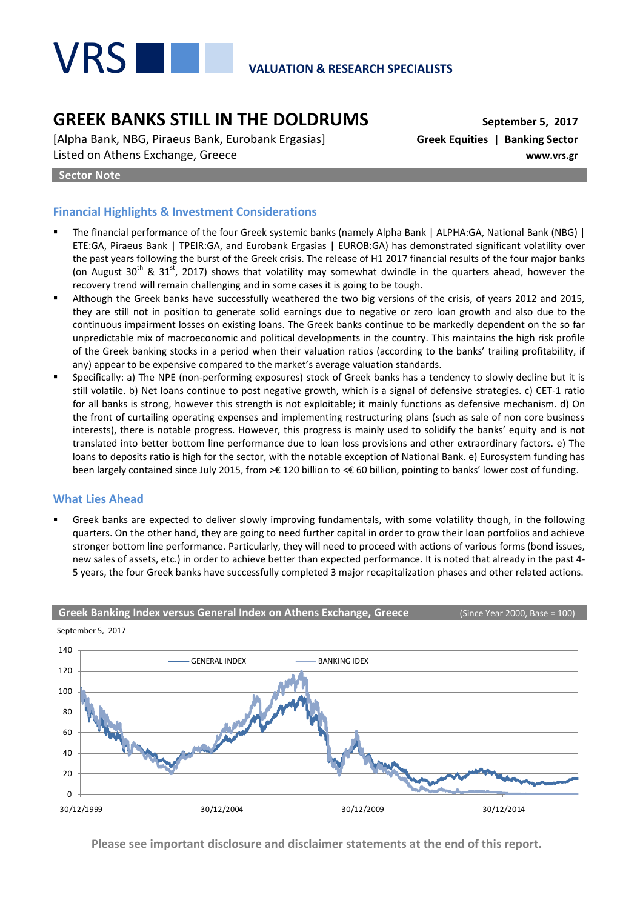

# **GREEK BANKS STILL IN THE DOLDRUMS September 5, 2017**

[Alpha Bank, NBG, Piraeus Bank, Eurobank Ergasias] **Greek Equities | Banking Sector** Listed on Athens Exchange, Greece **www.vrs.gr**

#### **Sector Note**

### **Financial Highlights & Investment Considerations**

- The financial performance of the four Greek systemic banks (namely Alpha Bank | ALPHA:GA, National Bank (NBG) | ETE:GA, Piraeus Bank | TPEIR:GA, and Eurobank Ergasias | EUROB:GA) has demonstrated significant volatility over the past years following the burst of the Greek crisis. The release of H1 2017 financial results of the four major banks (on August 30<sup>th</sup> & 31<sup>st</sup>, 2017) shows that volatility may somewhat dwindle in the quarters ahead, however the recovery trend will remain challenging and in some cases it is going to be tough.
- Although the Greek banks have successfully weathered the two big versions of the crisis, of years 2012 and 2015, they are still not in position to generate solid earnings due to negative or zero loan growth and also due to the continuous impairment losses on existing loans. The Greek banks continue to be markedly dependent on the so far unpredictable mix of macroeconomic and political developments in the country. This maintains the high risk profile of the Greek banking stocks in a period when their valuation ratios (according to the banks' trailing profitability, if any) appear to be expensive compared to the market's average valuation standards.
- Specifically: a) The NPE (non-performing exposures) stock of Greek banks has a tendency to slowly decline but it is still volatile. b) Net loans continue to post negative growth, which is a signal of defensive strategies. c) CET-1 ratio for all banks is strong, however this strength is not exploitable; it mainly functions as defensive mechanism. d) On the front of curtailing operating expenses and implementing restructuring plans (such as sale of non core business interests), there is notable progress. However, this progress is mainly used to solidify the banks' equity and is not translated into better bottom line performance due to loan loss provisions and other extraordinary factors. e) The loans to deposits ratio is high for the sector, with the notable exception of National Bank. e) Eurosystem funding has been largely contained since July 2015, from >€ 120 billion to <€ 60 billion, pointing to banks' lower cost of funding.

#### **What Lies Ahead**

 Greek banks are expected to deliver slowly improving fundamentals, with some volatility though, in the following quarters. On the other hand, they are going to need further capital in order to grow their loan portfolios and achieve stronger bottom line performance. Particularly, they will need to proceed with actions of various forms (bond issues, new sales of assets, etc.) in order to achieve better than expected performance. It is noted that already in the past 4- 5 years, the four Greek banks have successfully completed 3 major recapitalization phases and other related actions.



**Please see important disclosure and disclaimer statements at the end of this report.**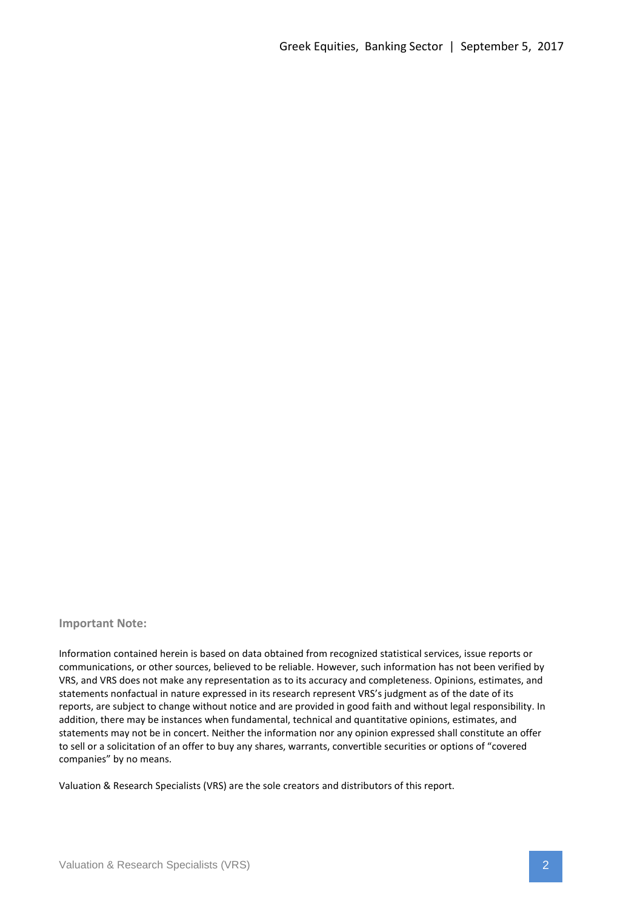#### **Important Note:**

Information contained herein is based on data obtained from recognized statistical services, issue reports or communications, or other sources, believed to be reliable. However, such information has not been verified by VRS, and VRS does not make any representation as to its accuracy and completeness. Opinions, estimates, and statements nonfactual in nature expressed in its research represent VRS's judgment as of the date of its reports, are subject to change without notice and are provided in good faith and without legal responsibility. In addition, there may be instances when fundamental, technical and quantitative opinions, estimates, and statements may not be in concert. Neither the information nor any opinion expressed shall constitute an offer to sell or a solicitation of an offer to buy any shares, warrants, convertible securities or options of "covered companies" by no means.

Valuation & Research Specialists (VRS) are the sole creators and distributors of this report.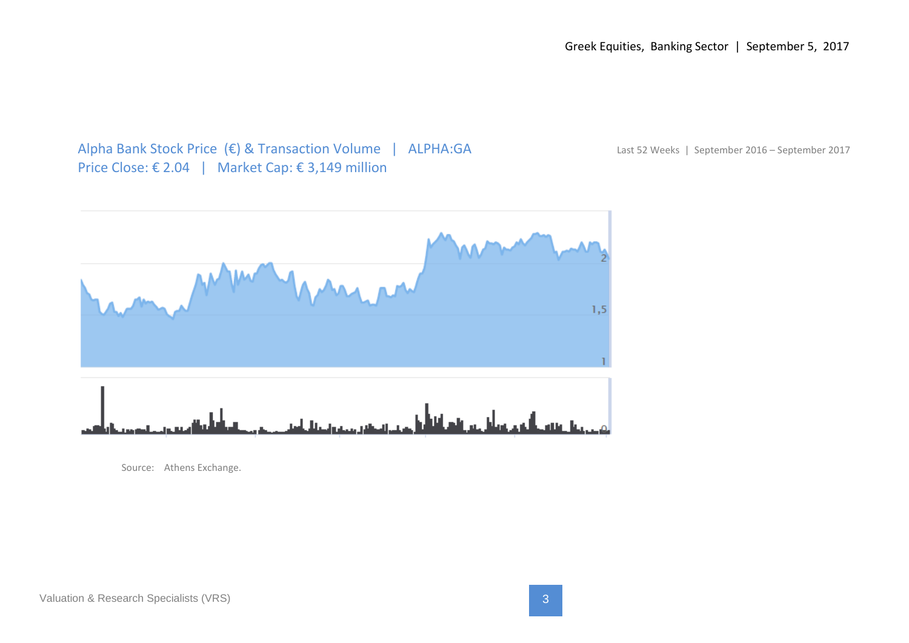Greek Equities, Banking Sector | September 5, 2017

Alpha Bank Stock Price (€) & Transaction Volume | ALPHA:GA Last 52 Weeks | September 2016 – September 2017 Price Close: € 2.04 | Market Cap: € 3,149 million



Source: Athens Exchange.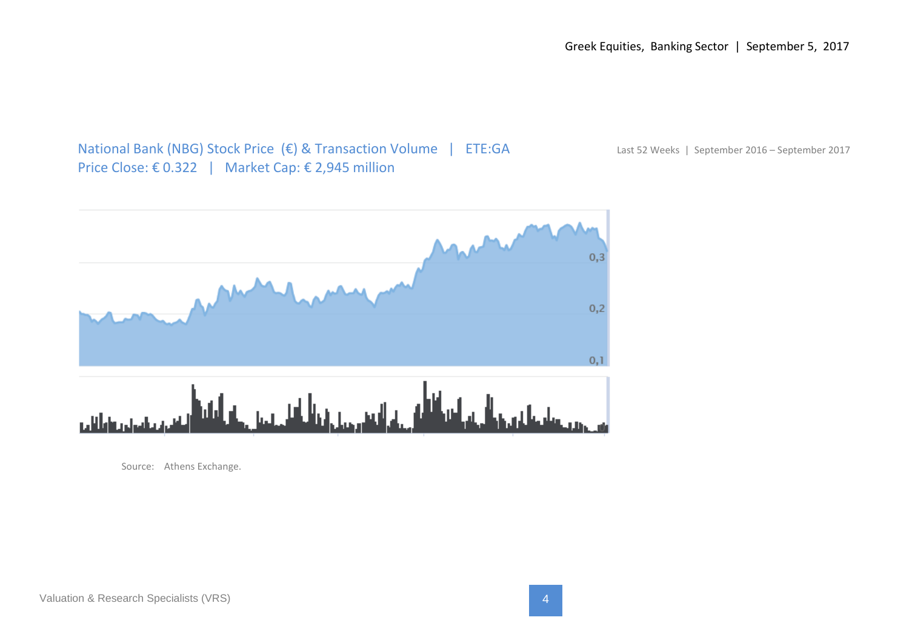National Bank (NBG) Stock Price (€) & Transaction Volume | ETE:GA Last 52 Weeks | September 2016 – September 2017 Price Close: € 0.322 | Market Cap: € 2,945 million



Source: Athens Exchange.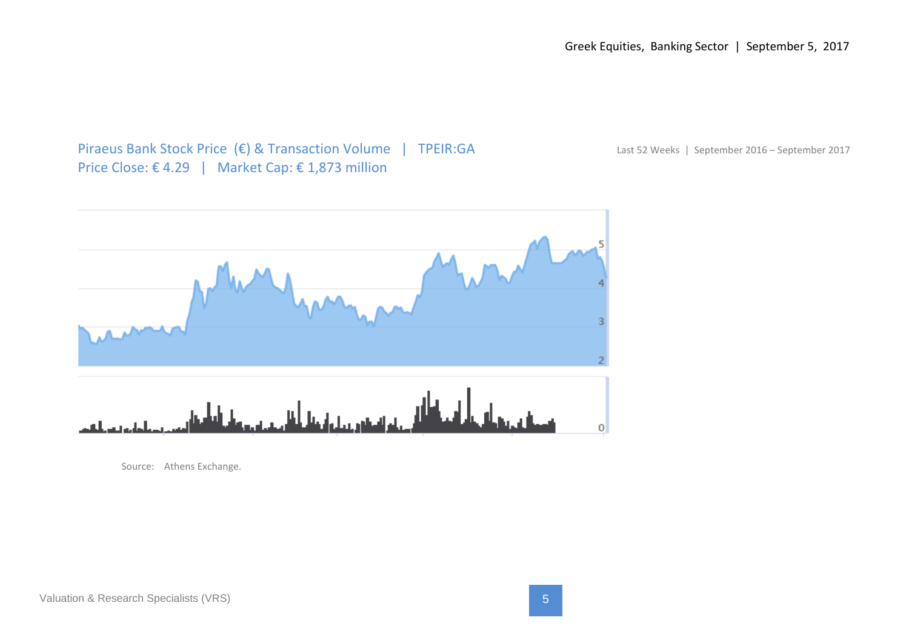Greek Equities, Banking Sector | September 5, 2017

Piraeus Bank Stock Price (€) & Transaction Volume | TPEIR:GA Last 52 Weeks | September 2016 – September 2017 Price Close: € 4.29 | Market Cap: € 1,873 million



Source: Athens Exchange.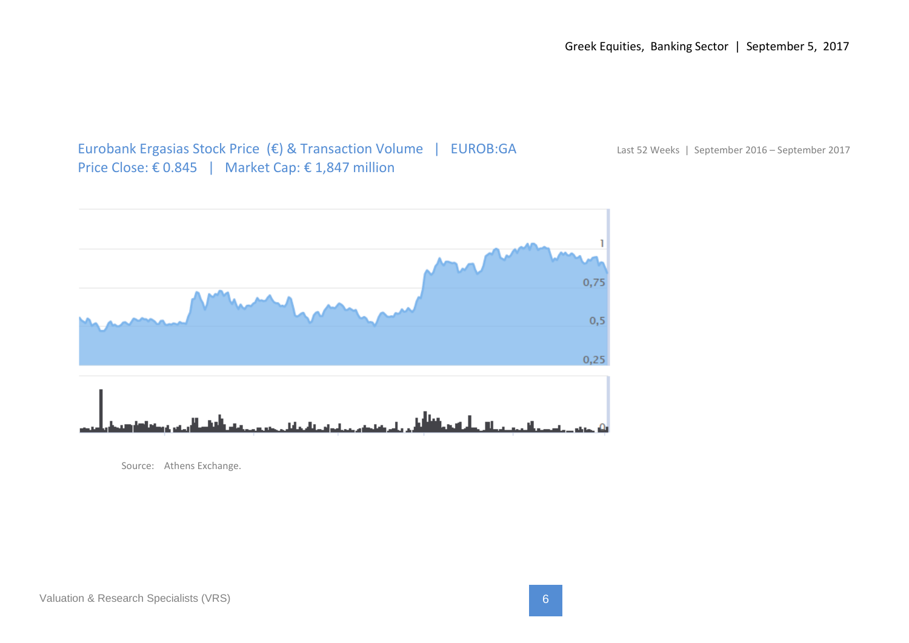## Eurobank Ergasias Stock Price (€) & Transaction Volume | EUROB:GA Last 52 Weeks | September 2016 – September 2017 Price Close: € 0.845 | Market Cap: € 1,847 million

0,75  $0,5$  $0,25$ 

عينان

Source: Athens Exchange.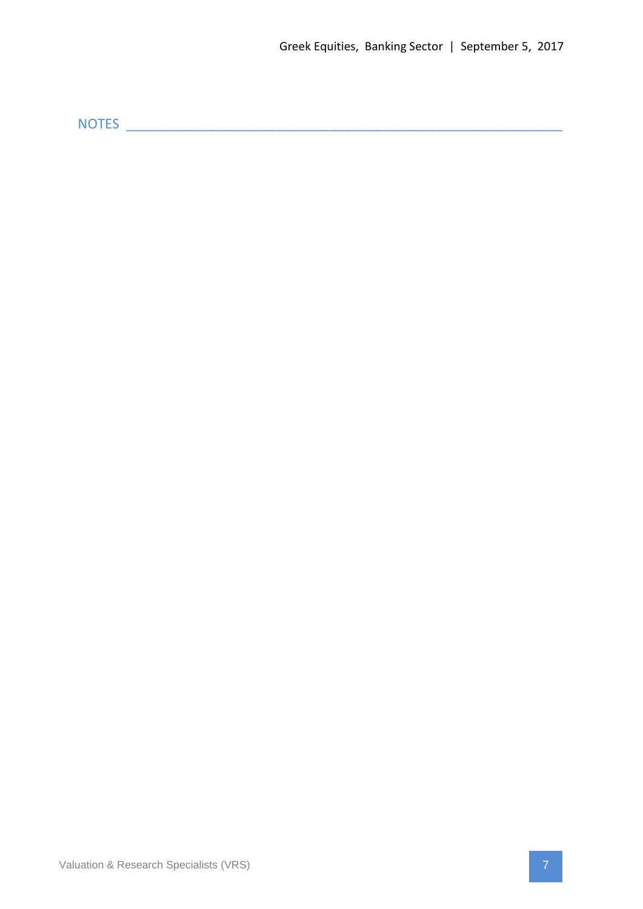NOTES \_\_\_\_\_\_\_\_\_\_\_\_\_\_\_\_\_\_\_\_\_\_\_\_\_\_\_\_\_\_\_\_\_\_\_\_\_\_\_\_\_\_\_\_\_\_\_\_\_\_\_\_\_\_\_\_\_\_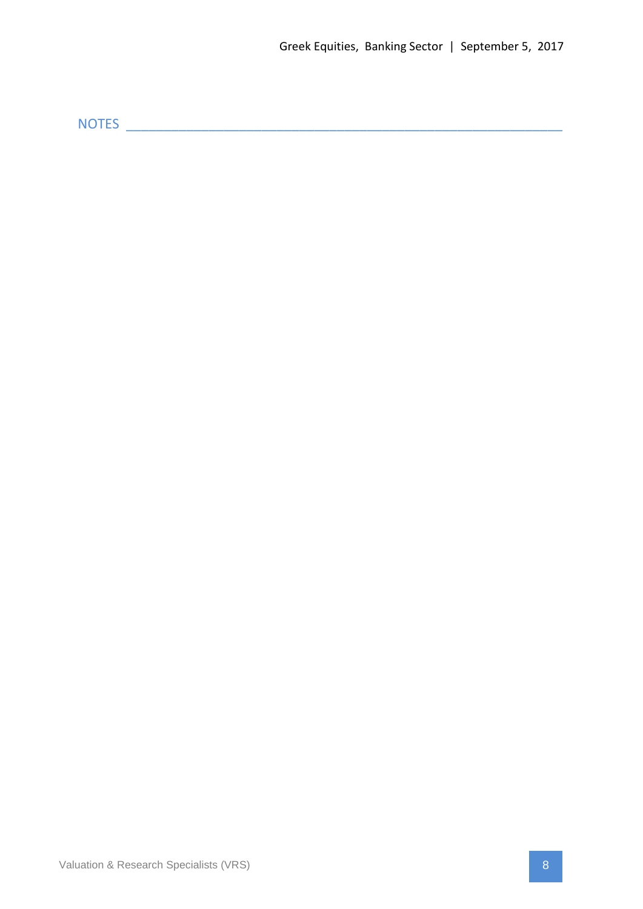NOTES \_\_\_\_\_\_\_\_\_\_\_\_\_\_\_\_\_\_\_\_\_\_\_\_\_\_\_\_\_\_\_\_\_\_\_\_\_\_\_\_\_\_\_\_\_\_\_\_\_\_\_\_\_\_\_\_\_\_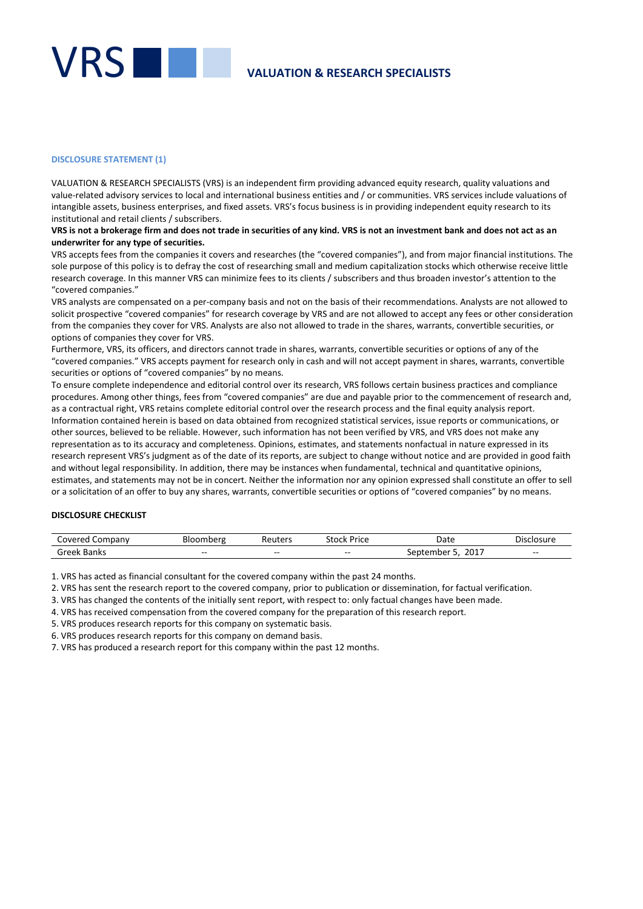

#### **DISCLOSURE STATEMENT (1)**

VALUATION & RESEARCH SPECIALISTS (VRS) is an independent firm providing advanced equity research, quality valuations and value-related advisory services to local and international business entities and / or communities. VRS services include valuations of intangible assets, business enterprises, and fixed assets. VRS's focus business is in providing independent equity research to its institutional and retail clients / subscribers.

#### **VRS is not a brokerage firm and does not trade in securities of any kind. VRS is not an investment bank and does not act as an underwriter for any type of securities.**

VRS accepts fees from the companies it covers and researches (the "covered companies"), and from major financial institutions. The sole purpose of this policy is to defray the cost of researching small and medium capitalization stocks which otherwise receive little research coverage. In this manner VRS can minimize fees to its clients / subscribers and thus broaden investor's attention to the "covered companies."

VRS analysts are compensated on a per-company basis and not on the basis of their recommendations. Analysts are not allowed to solicit prospective "covered companies" for research coverage by VRS and are not allowed to accept any fees or other consideration from the companies they cover for VRS. Analysts are also not allowed to trade in the shares, warrants, convertible securities, or options of companies they cover for VRS.

Furthermore, VRS, its officers, and directors cannot trade in shares, warrants, convertible securities or options of any of the "covered companies." VRS accepts payment for research only in cash and will not accept payment in shares, warrants, convertible securities or options of "covered companies" by no means.

To ensure complete independence and editorial control over its research, VRS follows certain business practices and compliance procedures. Among other things, fees from "covered companies" are due and payable prior to the commencement of research and, as a contractual right, VRS retains complete editorial control over the research process and the final equity analysis report. Information contained herein is based on data obtained from recognized statistical services, issue reports or communications, or other sources, believed to be reliable. However, such information has not been verified by VRS, and VRS does not make any representation as to its accuracy and completeness. Opinions, estimates, and statements nonfactual in nature expressed in its research represent VRS's judgment as of the date of its reports, are subject to change without notice and are provided in good faith and without legal responsibility. In addition, there may be instances when fundamental, technical and quantitative opinions, estimates, and statements may not be in concert. Neither the information nor any opinion expressed shall constitute an offer to sell or a solicitation of an offer to buy any shares, warrants, convertible securities or options of "covered companies" by no means.

#### **DISCLOSURE CHECKLIST**

| <u>Mared</u><br>lompany | Bloomberg | Reuters | stock:<br><sup>o</sup> rice | Date             | closure<br>Dısı |
|-------------------------|-----------|---------|-----------------------------|------------------|-----------------|
| :raal/<br>Banks         | $- -$     | $- -$   | $- -$                       | 2017<br>nber<br> | $- -$           |

1. VRS has acted as financial consultant for the covered company within the past 24 months.

2. VRS has sent the research report to the covered company, prior to publication or dissemination, for factual verification.

3. VRS has changed the contents of the initially sent report, with respect to: only factual changes have been made.

4. VRS has received compensation from the covered company for the preparation of this research report.

5. VRS produces research reports for this company on systematic basis.

6. VRS produces research reports for this company on demand basis.

7. VRS has produced a research report for this company within the past 12 months.